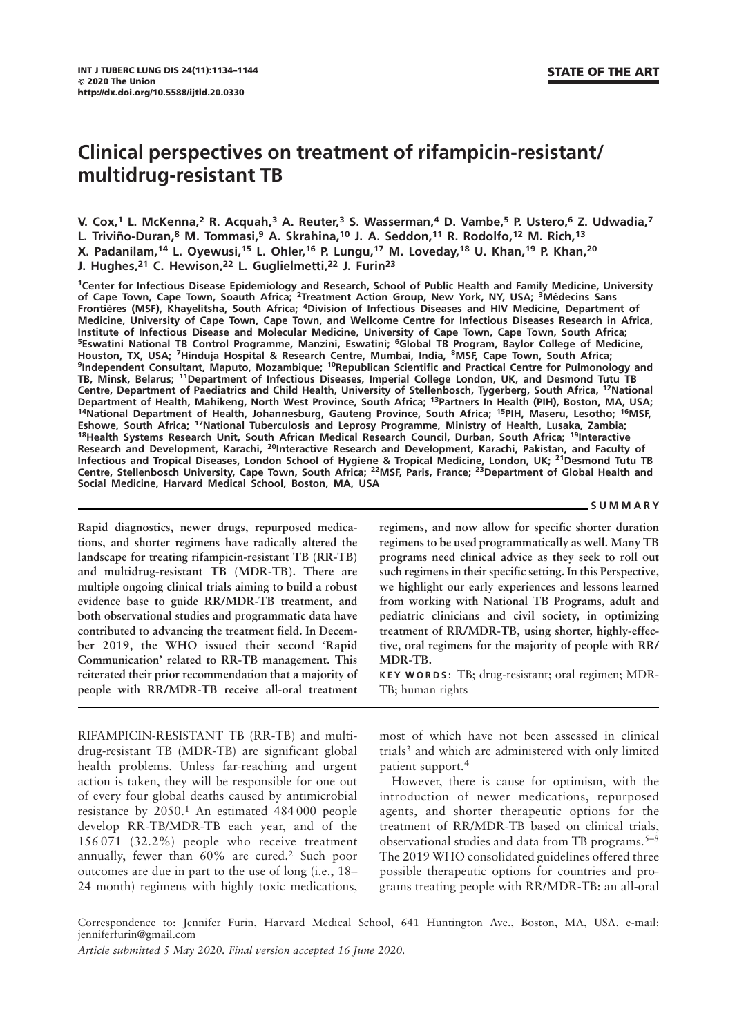# Clinical perspectives on treatment of rifampicin-resistant/ multidrug-resistant TB

V. Cox,<sup>1</sup> L. McKenna,<sup>2</sup> R. Acquah,<sup>3</sup> A. Reuter,<sup>3</sup> S. Wasserman,<sup>4</sup> D. Vambe,<sup>5</sup> P. Ustero,<sup>6</sup> Z. Udwadia,<sup>7</sup> L. Triviño-Duran,<sup>8</sup> M. Tommasi,<sup>9</sup> A. Skrahina,<sup>10</sup> J. A. Seddon,<sup>11</sup> R. Rodolfo,<sup>12</sup> M. Rich,<sup>13</sup> X. Padanilam,<sup>14</sup> L. Oyewusi,<sup>15</sup> L. Ohler,16 P. Lungu,17 M. Loveday,18 U. Khan,<sup>19</sup> P. Khan,<sup>20</sup> J. Hughes,<sup>21</sup> C. Hewison,<sup>22</sup> L. Guglielmetti,<sup>22</sup> J. Furin<sup>23</sup>

1Center for Infectious Disease Epidemiology and Research, School of Public Health and Family Medicine, University of Cape Town, Cape Town, Soauth Africa; <sup>2</sup>Treatment Action Group, New York, NY, USA; <sup>3</sup>Médecins Sans Frontières (MSF), Khayelitsha, South Africa; <sup>4</sup>Division of Infectious Diseases and HIV Medicine, Department of Medicine, University of Cape Town, Cape Town, and Wellcome Centre for Infectious Diseases Research in Africa, Institute of Infectious Disease and Molecular Medicine, University of Cape Town, Cape Town, South Africa; <sup>5</sup>Eswatini National TB Control Programme, Manzini, Eswatini; <sup>6</sup>Global TB Program, Baylor College of Medicine,<br>Houston, TX, USA; <sup>7</sup>Hinduja Hospital & Research Centre, Mumbai, India, <sup>8</sup>MSF, Cape Town, South Africa; <sup>9</sup>Independent Consultant, Maputo, Mozambique; <sup>10</sup>Republican Scientific and Practical Centre for Pulmonology and TB, Minsk, Belarus; 11Department of Infectious Diseases, Imperial College London, UK, and Desmond Tutu TB Centre, Department of Paediatrics and Child Health, University of Stellenbosch, Tygerberg, South Africa, 12National Department of Health, Mahikeng, North West Province, South Africa; <sup>13</sup>Partners In Health (PIH), Boston, MA, USA; 14National Department of Health, Johannesburg, Gauteng Province, South Africa; <sup>15</sup>PIH, Maseru, Lesotho; <sup>16</sup> Eshowe, South Africa; <sup>17</sup>National Tuberculosis and Leprosy Programme, Ministry of Health, Lusaka, Zambia; 19Health Systems Research Unit, South African Medical Research Council, Durban, South Africa; <sup>19</sup>Interactive Research and Development, Karachi, <sup>20</sup>Interactive Research and Development, Karachi, Pakistan, and Faculty of Infectious and Tropical Diseases, London School of Hygiene & Tropical Medicine, London, UK; 21Desmond Tutu TB Centre, Stellenbosch University, Cape Town, South Africa; <sup>22</sup>MSF, Paris, France; <sup>23</sup>Department of Global Health and Social Medicine, Harvard Medical School, Boston, MA, USA

#### **SUMMARY**

Rapid diagnostics, newer drugs, repurposed medications, and shorter regimens have radically altered the landscape for treating rifampicin-resistant TB (RR-TB) and multidrug-resistant TB (MDR-TB). There are multiple ongoing clinical trials aiming to build a robust evidence base to guide RR/MDR-TB treatment, and both observational studies and programmatic data have contributed to advancing the treatment field. In December 2019, the WHO issued their second 'Rapid Communication' related to RR-TB management. This reiterated their prior recommendation that a majority of people with RR/MDR-TB receive all-oral treatment

RIFAMPICIN-RESISTANT TB (RR-TB) and multidrug-resistant TB (MDR-TB) are significant global health problems. Unless far-reaching and urgent action is taken, they will be responsible for one out of every four global deaths caused by antimicrobial resistance by 2050.<sup>1</sup> An estimated 484 000 people develop RR-TB/MDR-TB each year, and of the 156 071 (32.2%) people who receive treatment annually, fewer than 60% are cured.<sup>2</sup> Such poor outcomes are due in part to the use of long (i.e., 18– 24 month) regimens with highly toxic medications, regimens, and now allow for specific shorter duration regimens to be used programmatically as well. Many TB programs need clinical advice as they seek to roll out such regimens in their specific setting. In this Perspective, we highlight our early experiences and lessons learned from working with National TB Programs, adult and pediatric clinicians and civil society, in optimizing treatment of RR/MDR-TB, using shorter, highly-effective, oral regimens for the majority of people with RR/ MDR-TB.

KEY WORDS: TB; drug-resistant; oral regimen; MDR-TB; human rights

most of which have not been assessed in clinical trials<sup>3</sup> and which are administered with only limited patient support.<sup>4</sup>

However, there is cause for optimism, with the introduction of newer medications, repurposed agents, and shorter therapeutic options for the treatment of RR/MDR-TB based on clinical trials, observational studies and data from TB programs.5–8 The 2019 WHO consolidated guidelines offered three possible therapeutic options for countries and programs treating people with RR/MDR-TB: an all-oral

Correspondence to: Jennifer Furin, Harvard Medical School, 641 Huntington Ave., Boston, MA, USA. e-mail: jenniferfurin@gmail.com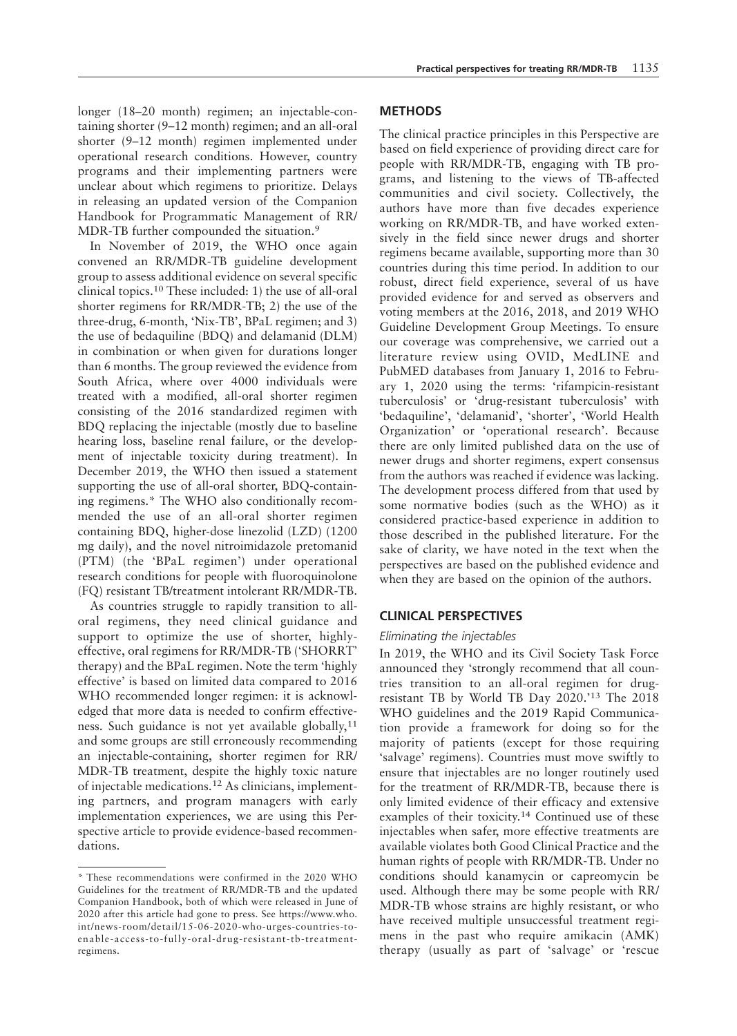longer (18–20 month) regimen; an injectable-containing shorter (9–12 month) regimen; and an all-oral shorter (9–12 month) regimen implemented under operational research conditions. However, country programs and their implementing partners were unclear about which regimens to prioritize. Delays in releasing an updated version of the Companion Handbook for Programmatic Management of RR/ MDR-TB further compounded the situation.<sup>9</sup>

In November of 2019, the WHO once again convened an RR/MDR-TB guideline development group to assess additional evidence on several specific clinical topics.10 These included: 1) the use of all-oral shorter regimens for RR/MDR-TB; 2) the use of the three-drug, 6-month, 'Nix-TB', BPaL regimen; and 3) the use of bedaquiline (BDQ) and delamanid (DLM) in combination or when given for durations longer than 6 months. The group reviewed the evidence from South Africa, where over 4000 individuals were treated with a modified, all-oral shorter regimen consisting of the 2016 standardized regimen with BDQ replacing the injectable (mostly due to baseline hearing loss, baseline renal failure, or the development of injectable toxicity during treatment). In December 2019, the WHO then issued a statement supporting the use of all-oral shorter, BDQ-containing regimens.\* The WHO also conditionally recommended the use of an all-oral shorter regimen containing BDQ, higher-dose linezolid (LZD) (1200 mg daily), and the novel nitroimidazole pretomanid (PTM) (the 'BPaL regimen') under operational research conditions for people with fluoroquinolone (FQ) resistant TB/treatment intolerant RR/MDR-TB.

As countries struggle to rapidly transition to alloral regimens, they need clinical guidance and support to optimize the use of shorter, highlyeffective, oral regimens for RR/MDR-TB ('SHORRT' therapy) and the BPaL regimen. Note the term 'highly effective' is based on limited data compared to 2016 WHO recommended longer regimen: it is acknowledged that more data is needed to confirm effectiveness. Such guidance is not yet available globally,<sup>11</sup> and some groups are still erroneously recommending an injectable-containing, shorter regimen for RR/ MDR-TB treatment, despite the highly toxic nature of injectable medications.<sup>12</sup> As clinicians, implementing partners, and program managers with early implementation experiences, we are using this Perspective article to provide evidence-based recommendations.

## **METHODS**

The clinical practice principles in this Perspective are based on field experience of providing direct care for people with RR/MDR-TB, engaging with TB programs, and listening to the views of TB-affected communities and civil society. Collectively, the authors have more than five decades experience working on RR/MDR-TB, and have worked extensively in the field since newer drugs and shorter regimens became available, supporting more than 30 countries during this time period. In addition to our robust, direct field experience, several of us have provided evidence for and served as observers and voting members at the 2016, 2018, and 2019 WHO Guideline Development Group Meetings. To ensure our coverage was comprehensive, we carried out a literature review using OVID, MedLINE and PubMED databases from January 1, 2016 to February 1, 2020 using the terms: 'rifampicin-resistant tuberculosis' or 'drug-resistant tuberculosis' with 'bedaquiline', 'delamanid', 'shorter', 'World Health Organization' or 'operational research'. Because there are only limited published data on the use of newer drugs and shorter regimens, expert consensus from the authors was reached if evidence was lacking. The development process differed from that used by some normative bodies (such as the WHO) as it considered practice-based experience in addition to those described in the published literature. For the sake of clarity, we have noted in the text when the perspectives are based on the published evidence and when they are based on the opinion of the authors.

### CLINICAL PERSPECTIVES

#### Eliminating the injectables

In 2019, the WHO and its Civil Society Task Force announced they 'strongly recommend that all countries transition to an all-oral regimen for drugresistant TB by World TB Day 2020.'<sup>13</sup> The 2018 WHO guidelines and the 2019 Rapid Communication provide a framework for doing so for the majority of patients (except for those requiring 'salvage' regimens). Countries must move swiftly to ensure that injectables are no longer routinely used for the treatment of RR/MDR-TB, because there is only limited evidence of their efficacy and extensive examples of their toxicity.<sup>14</sup> Continued use of these injectables when safer, more effective treatments are available violates both Good Clinical Practice and the human rights of people with RR/MDR-TB. Under no conditions should kanamycin or capreomycin be used. Although there may be some people with RR/ MDR-TB whose strains are highly resistant, or who have received multiple unsuccessful treatment regimens in the past who require amikacin (AMK) therapy (usually as part of 'salvage' or 'rescue

<sup>\*</sup> These recommendations were confirmed in the 2020 WHO Guidelines for the treatment of RR/MDR-TB and the updated Companion Handbook, both of which were released in June of 2020 after this article had gone to press. See https://www.who. int/news-room/detail/15-06-2020-who-urges-countries-toenable-access-to-fully-oral-drug-resistant-tb-treatmentregimens.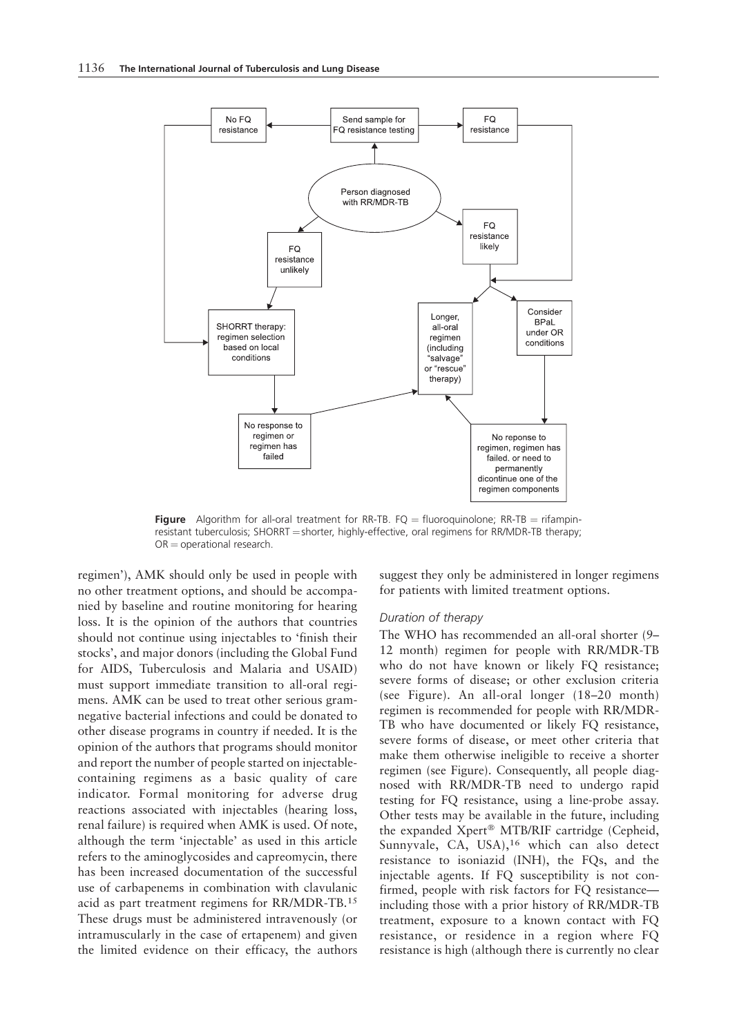

Figure Algorithm for all-oral treatment for RR-TB. FQ = fluoroquinolone; RR-TB = rifampinresistant tuberculosis; SHORRT = shorter, highly-effective, oral regimens for RR/MDR-TB therapy;  $OR = operational research$ .

regimen'), AMK should only be used in people with no other treatment options, and should be accompanied by baseline and routine monitoring for hearing loss. It is the opinion of the authors that countries should not continue using injectables to 'finish their stocks', and major donors (including the Global Fund for AIDS, Tuberculosis and Malaria and USAID) must support immediate transition to all-oral regimens. AMK can be used to treat other serious gramnegative bacterial infections and could be donated to other disease programs in country if needed. It is the opinion of the authors that programs should monitor and report the number of people started on injectablecontaining regimens as a basic quality of care indicator. Formal monitoring for adverse drug reactions associated with injectables (hearing loss, renal failure) is required when AMK is used. Of note, although the term 'injectable' as used in this article refers to the aminoglycosides and capreomycin, there has been increased documentation of the successful use of carbapenems in combination with clavulanic acid as part treatment regimens for RR/MDR-TB.<sup>15</sup> These drugs must be administered intravenously (or intramuscularly in the case of ertapenem) and given the limited evidence on their efficacy, the authors suggest they only be administered in longer regimens for patients with limited treatment options.

## Duration of therapy

The WHO has recommended an all-oral shorter (9– 12 month) regimen for people with RR/MDR-TB who do not have known or likely FQ resistance; severe forms of disease; or other exclusion criteria (see Figure). An all-oral longer (18–20 month) regimen is recommended for people with RR/MDR-TB who have documented or likely FQ resistance, severe forms of disease, or meet other criteria that make them otherwise ineligible to receive a shorter regimen (see Figure). Consequently, all people diagnosed with RR/MDR-TB need to undergo rapid testing for FQ resistance, using a line-probe assay. Other tests may be available in the future, including the expanded Xpert® MTB/RIF cartridge (Cepheid, Sunnyvale, CA, USA), $16$  which can also detect resistance to isoniazid (INH), the FQs, and the injectable agents. If FQ susceptibility is not confirmed, people with risk factors for FQ resistance including those with a prior history of RR/MDR-TB treatment, exposure to a known contact with FQ resistance, or residence in a region where FQ resistance is high (although there is currently no clear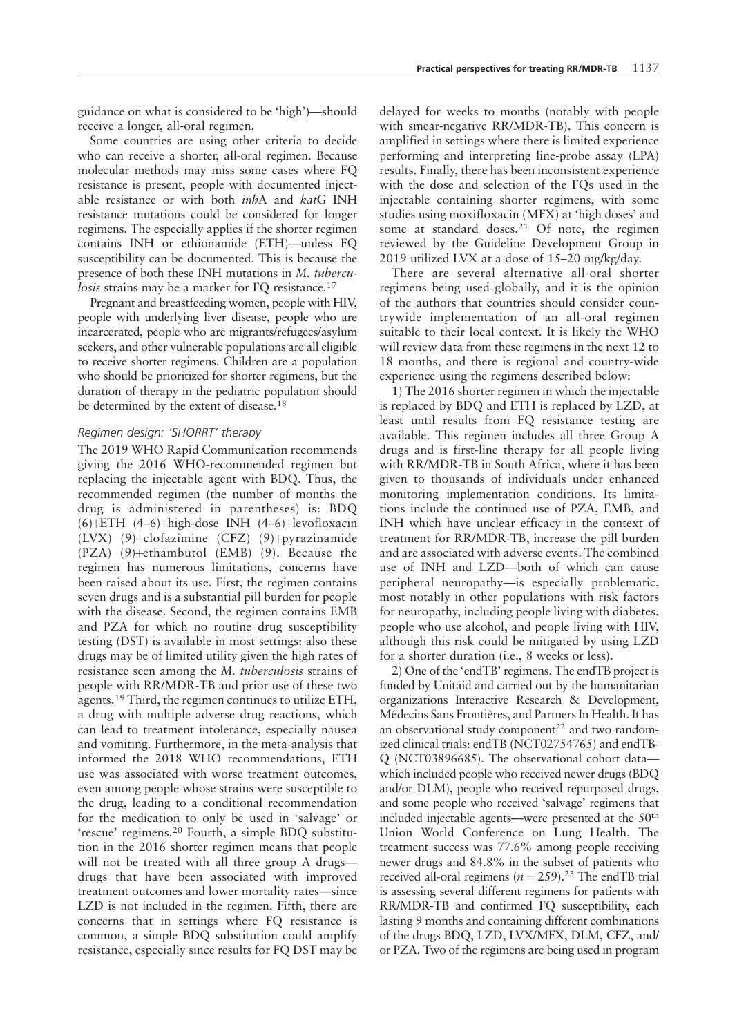guidance on what is considered to be 'high')—should receive a longer, all-oral regimen.

Some countries are using other criteria to decide who can receive a shorter, all-oral regimen. Because molecular methods may miss some cases where FQ resistance is present, people with documented injectable resistance or with both *inhA* and *katG* INH resistance mutations could be considered for longer regimens. The especially applies if the shorter regimen contains INH or ethionamide (ETH)—unless FQ susceptibility can be documented. This is because the presence of both these INH mutations in M. tuberculosis strains may be a marker for FQ resistance.<sup>17</sup>

Pregnant and breastfeeding women, people with HIV, people with underlying liver disease, people who are incarcerated, people who are migrants/refugees/asylum seekers, and other vulnerable populations are all eligible to receive shorter regimens. Children are a population who should be prioritized for shorter regimens, but the duration of therapy in the pediatric population should be determined by the extent of disease.18

# Regimen design: 'SHORRT' therapy

The 2019 WHO Rapid Communication recommends giving the 2016 WHO-recommended regimen but replacing the injectable agent with BDQ. Thus, the recommended regimen (the number of months the drug is administered in parentheses) is: BDQ (6)+ETH (4–6)+high-dose INH (4–6)+levofloxacin  $(LVX)$  (9)+clofazimine (CFZ) (9)+pyrazinamide  $(PZA)$  (9)+ethambutol (EMB) (9). Because the regimen has numerous limitations, concerns have been raised about its use. First, the regimen contains seven drugs and is a substantial pill burden for people with the disease. Second, the regimen contains EMB and PZA for which no routine drug susceptibility testing (DST) is available in most settings: also these drugs may be of limited utility given the high rates of resistance seen among the M. tuberculosis strains of people with RR/MDR-TB and prior use of these two agents.<sup>19</sup> Third, the regimen continues to utilize ETH, a drug with multiple adverse drug reactions, which can lead to treatment intolerance, especially nausea and vomiting. Furthermore, in the meta-analysis that informed the 2018 WHO recommendations, ETH use was associated with worse treatment outcomes, even among people whose strains were susceptible to the drug, leading to a conditional recommendation for the medication to only be used in 'salvage' or 'rescue' regimens.20 Fourth, a simple BDQ substitution in the 2016 shorter regimen means that people will not be treated with all three group A drugs drugs that have been associated with improved treatment outcomes and lower mortality rates—since LZD is not included in the regimen. Fifth, there are concerns that in settings where FQ resistance is common, a simple BDQ substitution could amplify resistance, especially since results for FQ DST may be delayed for weeks to months (notably with people with smear-negative RR/MDR-TB). This concern is amplified in settings where there is limited experience performing and interpreting line-probe assay (LPA) results. Finally, there has been inconsistent experience with the dose and selection of the FQs used in the injectable containing shorter regimens, with some studies using moxifloxacin (MFX) at 'high doses' and some at standard doses.<sup>21</sup> Of note, the regimen reviewed by the Guideline Development Group in 2019 utilized LVX at a dose of 15–20 mg/kg/day.

There are several alternative all-oral shorter regimens being used globally, and it is the opinion of the authors that countries should consider countrywide implementation of an all-oral regimen suitable to their local context. It is likely the WHO will review data from these regimens in the next 12 to 18 months, and there is regional and country-wide experience using the regimens described below:

1) The 2016 shorter regimen in which the injectable is replaced by BDQ and ETH is replaced by LZD, at least until results from FQ resistance testing are available. This regimen includes all three Group A drugs and is first-line therapy for all people living with RR/MDR-TB in South Africa, where it has been given to thousands of individuals under enhanced monitoring implementation conditions. Its limitations include the continued use of PZA, EMB, and INH which have unclear efficacy in the context of treatment for RR/MDR-TB, increase the pill burden and are associated with adverse events. The combined use of INH and LZD—both of which can cause peripheral neuropathy—is especially problematic, most notably in other populations with risk factors for neuropathy, including people living with diabetes, people who use alcohol, and people living with HIV, although this risk could be mitigated by using LZD for a shorter duration (i.e., 8 weeks or less).

2) One of the 'endTB' regimens. The endTB project is funded by Unitaid and carried out by the humanitarian organizations Interactive Research & Development, Médecins Sans Frontières, and Partners In Health. It has an observational study component<sup>22</sup> and two randomized clinical trials: endTB (NCT02754765) and endTB-Q (NCT03896685). The observational cohort data which included people who received newer drugs (BDQ and/or DLM), people who received repurposed drugs, and some people who received 'salvage' regimens that included injectable agents—were presented at the 50th Union World Conference on Lung Health. The treatment success was 77.6% among people receiving newer drugs and 84.8% in the subset of patients who received all-oral regimens ( $n = 259$ ).<sup>23</sup> The endTB trial is assessing several different regimens for patients with RR/MDR-TB and confirmed FQ susceptibility, each lasting 9 months and containing different combinations of the drugs BDQ, LZD, LVX/MFX, DLM, CFZ, and/ or PZA. Two of the regimens are being used in program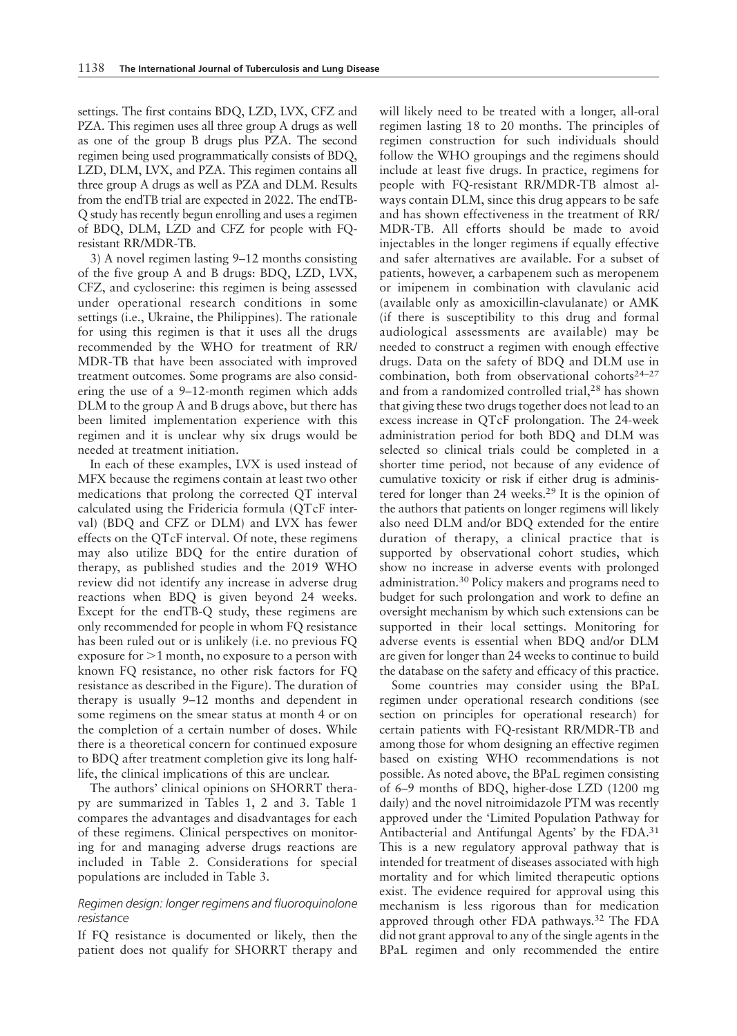settings. The first contains BDQ, LZD, LVX, CFZ and PZA. This regimen uses all three group A drugs as well as one of the group B drugs plus PZA. The second regimen being used programmatically consists of BDQ, LZD, DLM, LVX, and PZA. This regimen contains all three group A drugs as well as PZA and DLM. Results from the endTB trial are expected in 2022. The endTB-Q study has recently begun enrolling and uses a regimen of BDQ, DLM, LZD and CFZ for people with FQresistant RR/MDR-TB.

3) A novel regimen lasting 9–12 months consisting of the five group A and B drugs: BDQ, LZD, LVX, CFZ, and cycloserine: this regimen is being assessed under operational research conditions in some settings (i.e., Ukraine, the Philippines). The rationale for using this regimen is that it uses all the drugs recommended by the WHO for treatment of RR/ MDR-TB that have been associated with improved treatment outcomes. Some programs are also considering the use of a 9–12-month regimen which adds DLM to the group A and B drugs above, but there has been limited implementation experience with this regimen and it is unclear why six drugs would be needed at treatment initiation.

In each of these examples, LVX is used instead of MFX because the regimens contain at least two other medications that prolong the corrected QT interval calculated using the Fridericia formula (QTcF interval) (BDQ and CFZ or DLM) and LVX has fewer effects on the QTcF interval. Of note, these regimens may also utilize BDQ for the entire duration of therapy, as published studies and the 2019 WHO review did not identify any increase in adverse drug reactions when BDQ is given beyond 24 weeks. Except for the endTB-Q study, these regimens are only recommended for people in whom FQ resistance has been ruled out or is unlikely (i.e. no previous FQ exposure for  $>1$  month, no exposure to a person with known FQ resistance, no other risk factors for FQ resistance as described in the Figure). The duration of therapy is usually 9–12 months and dependent in some regimens on the smear status at month 4 or on the completion of a certain number of doses. While there is a theoretical concern for continued exposure to BDQ after treatment completion give its long halflife, the clinical implications of this are unclear.

The authors' clinical opinions on SHORRT therapy are summarized in Tables 1, 2 and 3. Table 1 compares the advantages and disadvantages for each of these regimens. Clinical perspectives on monitoring for and managing adverse drugs reactions are included in Table 2. Considerations for special populations are included in Table 3.

## Regimen design: longer regimens and fluoroquinolone resistance

If FQ resistance is documented or likely, then the patient does not qualify for SHORRT therapy and will likely need to be treated with a longer, all-oral regimen lasting 18 to 20 months. The principles of regimen construction for such individuals should follow the WHO groupings and the regimens should include at least five drugs. In practice, regimens for people with FQ-resistant RR/MDR-TB almost always contain DLM, since this drug appears to be safe and has shown effectiveness in the treatment of RR/ MDR-TB. All efforts should be made to avoid injectables in the longer regimens if equally effective and safer alternatives are available. For a subset of patients, however, a carbapenem such as meropenem or imipenem in combination with clavulanic acid (available only as amoxicillin-clavulanate) or AMK (if there is susceptibility to this drug and formal audiological assessments are available) may be needed to construct a regimen with enough effective drugs. Data on the safety of BDQ and DLM use in combination, both from observational cohorts $24-27$ and from a randomized controlled trial,<sup>28</sup> has shown that giving these two drugs together does not lead to an excess increase in QTcF prolongation. The 24-week administration period for both BDQ and DLM was selected so clinical trials could be completed in a shorter time period, not because of any evidence of cumulative toxicity or risk if either drug is administered for longer than 24 weeks.29 It is the opinion of the authors that patients on longer regimens will likely also need DLM and/or BDQ extended for the entire duration of therapy, a clinical practice that is supported by observational cohort studies, which show no increase in adverse events with prolonged administration.30 Policy makers and programs need to budget for such prolongation and work to define an oversight mechanism by which such extensions can be supported in their local settings. Monitoring for adverse events is essential when BDQ and/or DLM are given for longer than 24 weeks to continue to build the database on the safety and efficacy of this practice.

Some countries may consider using the BPaL regimen under operational research conditions (see section on principles for operational research) for certain patients with FQ-resistant RR/MDR-TB and among those for whom designing an effective regimen based on existing WHO recommendations is not possible. As noted above, the BPaL regimen consisting of 6–9 months of BDQ, higher-dose LZD (1200 mg daily) and the novel nitroimidazole PTM was recently approved under the 'Limited Population Pathway for Antibacterial and Antifungal Agents' by the FDA.31 This is a new regulatory approval pathway that is intended for treatment of diseases associated with high mortality and for which limited therapeutic options exist. The evidence required for approval using this mechanism is less rigorous than for medication approved through other FDA pathways.32 The FDA did not grant approval to any of the single agents in the BPaL regimen and only recommended the entire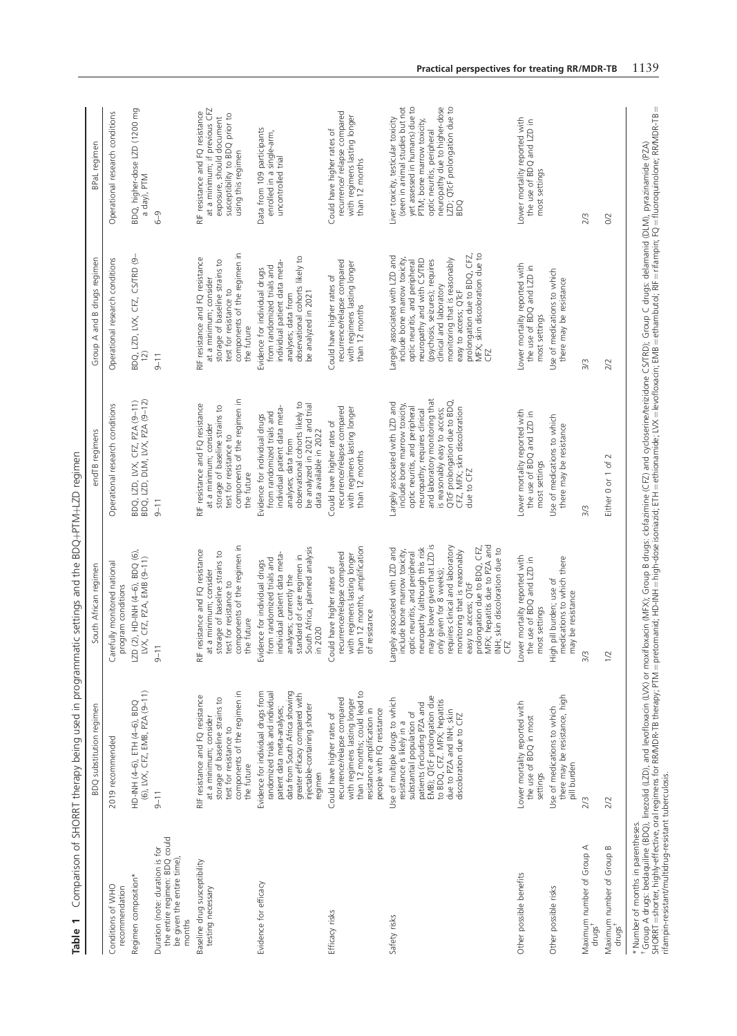|                                                                                                          | BDQ substitution regimen                                                                                                                                                                                                                      | South African regimen                                                                                                                                                                                                                                                                                                                                                                                      | endTB regimens                                                                                                                                                                                                                                                                        | Group A and B drugs regimen                                                                                                                                                                                                                                                                                                | BPaL regimen                                                                                                                                                                                                                                        |
|----------------------------------------------------------------------------------------------------------|-----------------------------------------------------------------------------------------------------------------------------------------------------------------------------------------------------------------------------------------------|------------------------------------------------------------------------------------------------------------------------------------------------------------------------------------------------------------------------------------------------------------------------------------------------------------------------------------------------------------------------------------------------------------|---------------------------------------------------------------------------------------------------------------------------------------------------------------------------------------------------------------------------------------------------------------------------------------|----------------------------------------------------------------------------------------------------------------------------------------------------------------------------------------------------------------------------------------------------------------------------------------------------------------------------|-----------------------------------------------------------------------------------------------------------------------------------------------------------------------------------------------------------------------------------------------------|
| Conditions of WHO<br>recommendation                                                                      | 2019 recommended                                                                                                                                                                                                                              | Carefully monitored national<br>program conditions                                                                                                                                                                                                                                                                                                                                                         | Operational research conditions                                                                                                                                                                                                                                                       | Operational research conditions                                                                                                                                                                                                                                                                                            | Operational research conditions                                                                                                                                                                                                                     |
| Regimen composition*                                                                                     | (6), LVX, CFZ, EMB, PZA (9-11)<br>HD-INH (4-6), ETH (4-6), BDQ                                                                                                                                                                                | LZD (2), HD-INH (4-6), BDQ (6), LVX, CFZ, PZA, EMB (9-11)                                                                                                                                                                                                                                                                                                                                                  | BDQ, LZD, LVX, CFZ, PZA (9–11)<br>BDQ, LZD, DLM, LVX, PZA (9–12)                                                                                                                                                                                                                      | BDQ, LZD, LVX, CFZ, CS/TRD (9-<br>(2)                                                                                                                                                                                                                                                                                      | BDQ, higher-dose LZD (1200 mg<br>a day), PTM                                                                                                                                                                                                        |
| the entire regimen: BDQ could<br>Duration (note: duration is for<br>be given the entire time),<br>months | $-11$                                                                                                                                                                                                                                         | $9 - 11$                                                                                                                                                                                                                                                                                                                                                                                                   | $9 - 11$                                                                                                                                                                                                                                                                              | $9 - 11$                                                                                                                                                                                                                                                                                                                   | $6 - 9$                                                                                                                                                                                                                                             |
| Baseline drug susceptibility<br>testing necessary                                                        | components of the regimen in<br>RIF resistance and FQ resistance<br>storage of baseline strains to<br>at a minimum; consider<br>test for resistance to<br>the future                                                                          | components of the regimen in<br>RIF resistance and FQ resistance<br>storage of baseline strains to<br>at a minimum; consider<br>test for resistance to<br>the future                                                                                                                                                                                                                                       | components of the regimen in<br>RIF resistance and FQ resistance<br>storage of baseline strains to<br>at a minimum; consider<br>test for resistance to<br>the future                                                                                                                  | components of the regimen in<br>RIF resistance and FQ resistance<br>storage of baseline strains to<br>at a minimum; consider<br>test for resistance to<br>the future                                                                                                                                                       | at a minimum; if previous CFZ<br>RIF resistance and FQ resistance<br>susceptibility to BDQ prior to<br>exposure, should document<br>using this regimen                                                                                              |
| Evidence for efficacy                                                                                    | data from South Africa showing<br>Evidence for individual drugs from<br>randomized trials and individual<br>greater efficacy compared with<br>injectable-containing shorter<br>patient data meta-analyses;<br>regimen                         | South Africa, planned analysis<br>individual patient data meta-<br>analyses; currently the<br>standard of care regimen in<br>from randomized trials and<br>Evidence for individual drugs<br>in 2020                                                                                                                                                                                                        | observational cohorts likely to<br>be analyzed in 2021 and trial<br>individual patient data meta-<br>from randomized trials and<br>Evidence for individual drugs<br>data available in 2022<br>analyses; data from                                                                     | observational cohorts likely to<br>individual patient data meta-<br>from randomized trials and<br>Evidence for individual drugs<br>be analyzed in 2021<br>analyses; data from                                                                                                                                              | Data from 109 participants<br>enrolled in a single-arm,<br>uncontrolled trial                                                                                                                                                                       |
| Efficacy risks                                                                                           | than 12 months; could lead to<br>recurrence/relapse compared<br>with regimens lasting longer<br>people with FQ resistance<br>resistance amplification in<br>Could have higher rates of                                                        | than 12 months, amplification<br>of resistance<br>recurrence/relapse compared<br>with regimens lasting longer<br>Could have higher rates of                                                                                                                                                                                                                                                                | recurrence/relapse compared<br>with regimens lasting longer<br>Could have higher rates of<br>than 12 months                                                                                                                                                                           | recurrence/relapse compared<br>with regimens lasting longer<br>Could have higher rates of<br>than 12 months                                                                                                                                                                                                                | recurrence/ relapse compared<br>with regimens lasting longer<br>Could have higher rates of<br>than 12 months                                                                                                                                        |
| Safety risks                                                                                             | EMB); QTcF prolongation due<br>Use of multiple drugs to which<br>to BDQ, CFZ. MFX; hepatitis<br>patients (including PZA and<br>due to PZA and INH; skin<br>substantial population of<br>discoloration due to CFZ<br>resistance is likely in a | may be lower given that LZD is<br>requires clinical and laboratory<br>prolongation due to BDQ, CFZ,<br>MFX; hepatitis due to PZA and<br>neuropathy (although this risk<br>Largely associated with LZD and<br>INH; skin discoloration due to<br>include bone marrow toxicity,<br>monitoring that is reasonably<br>optic neuritis, and peripheral<br>only given for 8 weeks);<br>easy to access; QTcF<br>CFZ | and laboratory monitoring that<br>QTcF prolongation due to BDQ.<br>Largely associated with LZD and<br>include bone marrow toxicity,<br>optic neuritis, and peripheral<br>CFZ, MFX; skin discoloration<br>is reasonably easy to access;<br>neuropathy; requires clinical<br>due to CFZ | MFX; skin discoloration due to<br>prolongation due to BDQ, CFZ,<br>Largely associated with LZD and<br>include bone marrow toxicity,<br>monitoring that is reasonably<br>neuropathy and with CS/TRD<br>(psychosis, seizures); requires<br>optic neuritis, and peripheral<br>clinical and laboratory<br>easy to access; QTcF | (seen in animal studies but not<br>yet assessed in humans) due to<br>neuropathy due to higher-dose<br>LZD; QTcF prolongation due to<br>Liver toxicity, testicular toxicity<br>PTM; bone marrow toxicity,<br>optic neuritis, peripheral<br><b>DQ</b> |
| Other possible benefits                                                                                  | Lower mortality reported with<br>the use of BDQ in most<br>settings                                                                                                                                                                           | Lower mortality reported with<br>the use of BDQ and LZD in<br>most settings                                                                                                                                                                                                                                                                                                                                | Lower mortality reported with<br>the use of BDQ and LZD in<br>most settings                                                                                                                                                                                                           | Lower mortality reported with<br>the use of BDQ and LZD in<br>most settings                                                                                                                                                                                                                                                | Lower mortality reported with<br>the use of BDQ and LZD in<br>most settings                                                                                                                                                                         |
| Other possible risks                                                                                     | there may be resistance, high<br>Use of medications to which<br>pill burden                                                                                                                                                                   | medications to which there<br>High pill burden; use of<br>may be resistance                                                                                                                                                                                                                                                                                                                                | Use of medications to which<br>there may be resistance                                                                                                                                                                                                                                | Use of medications to which<br>there may be resistance                                                                                                                                                                                                                                                                     |                                                                                                                                                                                                                                                     |
| Maximum number of Group A<br>$dr \mu$ gs <sup>+</sup>                                                    | 2/3                                                                                                                                                                                                                                           | $\frac{3}{3}$                                                                                                                                                                                                                                                                                                                                                                                              | 3/3                                                                                                                                                                                                                                                                                   | 3/3                                                                                                                                                                                                                                                                                                                        | 2/3                                                                                                                                                                                                                                                 |
| Maximum number of Group B<br>$drugs^{\dagger}$                                                           | 2/2                                                                                                                                                                                                                                           | 1/2                                                                                                                                                                                                                                                                                                                                                                                                        | Either 0 or 1 of 2                                                                                                                                                                                                                                                                    | 2/2                                                                                                                                                                                                                                                                                                                        | $\overline{0}$                                                                                                                                                                                                                                      |
| * Number of months in parentheses.                                                                       | <sup>†</sup> Group A drugs: bedaquiline (BDQ), linezolid (LZD), and levofloxacin (LVX) or moxifloxacin (MFX); Group B drugs: dofazinine (CFZ) and cycloserine/terizidone CS/TRD); Group C drugs: delamanid (DLM), pyrazinamide (PZA)          |                                                                                                                                                                                                                                                                                                                                                                                                            |                                                                                                                                                                                                                                                                                       |                                                                                                                                                                                                                                                                                                                            |                                                                                                                                                                                                                                                     |

¼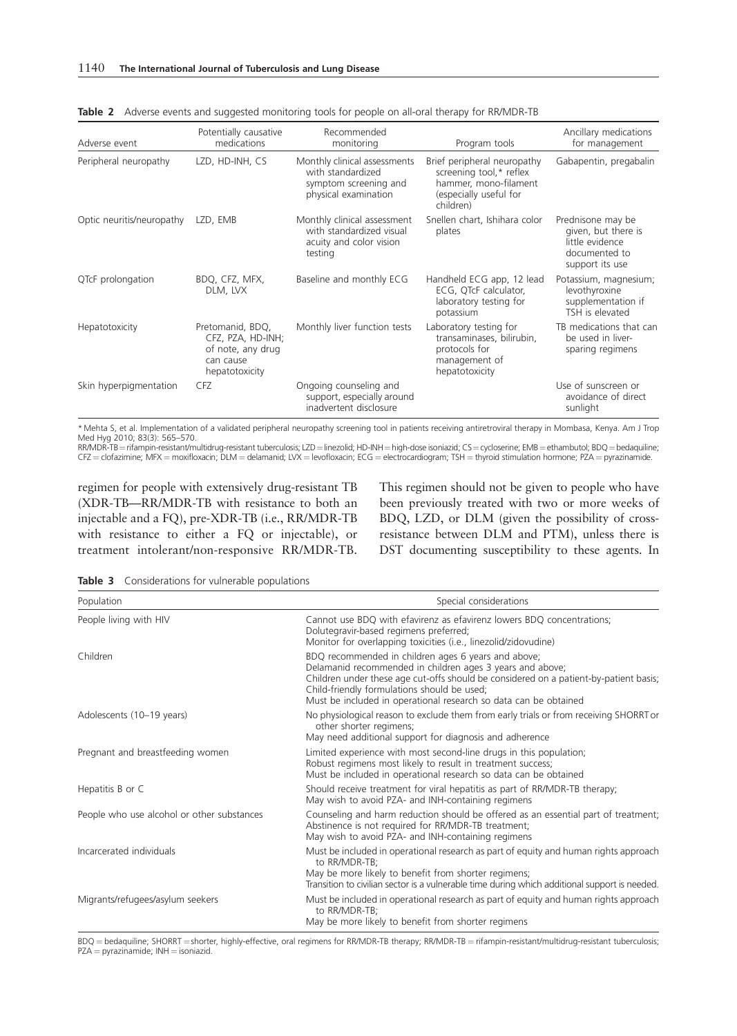| Adverse event             | Potentially causative<br>medications                                                      | Recommended<br>monitoring                                                                          | Program tools                                                                                                          | Ancillary medications<br>for management                                                         |
|---------------------------|-------------------------------------------------------------------------------------------|----------------------------------------------------------------------------------------------------|------------------------------------------------------------------------------------------------------------------------|-------------------------------------------------------------------------------------------------|
| Peripheral neuropathy     | LZD, HD-INH, CS                                                                           | Monthly clinical assessments<br>with standardized<br>symptom screening and<br>physical examination | Brief peripheral neuropathy<br>screening tool,* reflex<br>hammer, mono-filament<br>(especially useful for<br>children) | Gabapentin, pregabalin                                                                          |
| Optic neuritis/neuropathy | LZD, EMB                                                                                  | Monthly clinical assessment<br>with standardized visual<br>acuity and color vision<br>testing      | Snellen chart, Ishihara color<br>plates                                                                                | Prednisone may be<br>given, but there is<br>little evidence<br>documented to<br>support its use |
| QTcF prolongation         | BDQ, CFZ, MFX,<br>DLM, LVX                                                                | Baseline and monthly ECG                                                                           | Handheld ECG app, 12 lead<br>ECG, QTcF calculator,<br>laboratory testing for<br>potassium                              | Potassium, magnesium;<br>levothyroxine<br>supplementation if<br>TSH is elevated                 |
| Hepatotoxicity            | Pretomanid, BDQ,<br>CFZ, PZA, HD-INH;<br>of note, any drug<br>can cause<br>hepatotoxicity | Monthly liver function tests                                                                       | Laboratory testing for<br>transaminases, bilirubin,<br>protocols for<br>management of<br>hepatotoxicity                | TB medications that can<br>be used in liver-<br>sparing regimens                                |
| Skin hyperpigmentation    | <b>CFZ</b>                                                                                | Ongoing counseling and<br>support, especially around<br>inadvertent disclosure                     |                                                                                                                        | Use of sunscreen or<br>avoidance of direct<br>sunlight                                          |

| Table 2 |  |  |  |  |  | Adverse events and suggested monitoring tools for people on all-oral therapy for RR/MDR-TB |  |  |  |  |  |  |  |  |  |  |  |  |  |  |  |  |
|---------|--|--|--|--|--|--------------------------------------------------------------------------------------------|--|--|--|--|--|--|--|--|--|--|--|--|--|--|--|--|
|---------|--|--|--|--|--|--------------------------------------------------------------------------------------------|--|--|--|--|--|--|--|--|--|--|--|--|--|--|--|--|

\* Mehta S, et al. Implementation of a validated peripheral neuropathy screening tool in patients receiving antiretroviral therapy in Mombasa, Kenya. Am J Trop Med Hyg 2010; 83(3): 565–570.

RR/MDR-TB = rifampin-resistant/multidrug-resistant tuberculosis; LZD = linezolid; HD-INH = high-dose isoniazid; CS = cycloserine; EMB = ethambutol; BDQ = bedaquiline; CFZ = clofazimine; MFX = moxifloxacin; DLM = delamanid; LVX = levofloxacin; ECG = electrocardiogram; TSH = thyroid stimulation hormone; PZA = pyrazinamide.

regimen for people with extensively drug-resistant TB (XDR-TB—RR/MDR-TB with resistance to both an injectable and a FQ), pre-XDR-TB (i.e., RR/MDR-TB with resistance to either a FQ or injectable), or treatment intolerant/non-responsive RR/MDR-TB.

This regimen should not be given to people who have been previously treated with two or more weeks of BDQ, LZD, or DLM (given the possibility of crossresistance between DLM and PTM), unless there is DST documenting susceptibility to these agents. In

Table 3 Considerations for vulnerable populations

| Population                                 | Special considerations                                                                                                                                                                                                                                                                                                       |
|--------------------------------------------|------------------------------------------------------------------------------------------------------------------------------------------------------------------------------------------------------------------------------------------------------------------------------------------------------------------------------|
| People living with HIV                     | Cannot use BDQ with efavirenz as efavirenz lowers BDQ concentrations;<br>Dolutegravir-based regimens preferred;<br>Monitor for overlapping toxicities (i.e., linezolid/zidovudine)                                                                                                                                           |
| Children                                   | BDQ recommended in children ages 6 years and above;<br>Delamanid recommended in children ages 3 years and above;<br>Children under these age cut-offs should be considered on a patient-by-patient basis;<br>Child-friendly formulations should be used;<br>Must be included in operational research so data can be obtained |
| Adolescents (10-19 years)                  | No physiological reason to exclude them from early trials or from receiving SHORRT or<br>other shorter regimens;<br>May need additional support for diagnosis and adherence                                                                                                                                                  |
| Pregnant and breastfeeding women           | Limited experience with most second-line drugs in this population;<br>Robust regimens most likely to result in treatment success;<br>Must be included in operational research so data can be obtained                                                                                                                        |
| Hepatitis B or C                           | Should receive treatment for viral hepatitis as part of RR/MDR-TB therapy;<br>May wish to avoid PZA- and INH-containing regimens                                                                                                                                                                                             |
| People who use alcohol or other substances | Counseling and harm reduction should be offered as an essential part of treatment;<br>Abstinence is not required for RR/MDR-TB treatment;<br>May wish to avoid PZA- and INH-containing regimens                                                                                                                              |
| Incarcerated individuals                   | Must be included in operational research as part of equity and human rights approach<br>to RR/MDR-TB:<br>May be more likely to benefit from shorter regimens;<br>Transition to civilian sector is a vulnerable time during which additional support is needed.                                                               |
| Migrants/refugees/asylum seekers           | Must be included in operational research as part of equity and human rights approach<br>to RR/MDR-TB;<br>May be more likely to benefit from shorter regimens                                                                                                                                                                 |

BDQ = bedaquiline; SHORRT = shorter, highly-effective, oral regimens for RR/MDR-TB therapy; RR/MDR-TB = rifampin-resistant/multidrug-resistant tuberculosis;  $PZA = pyrazinamide$ ; INH  $=$  isoniazid.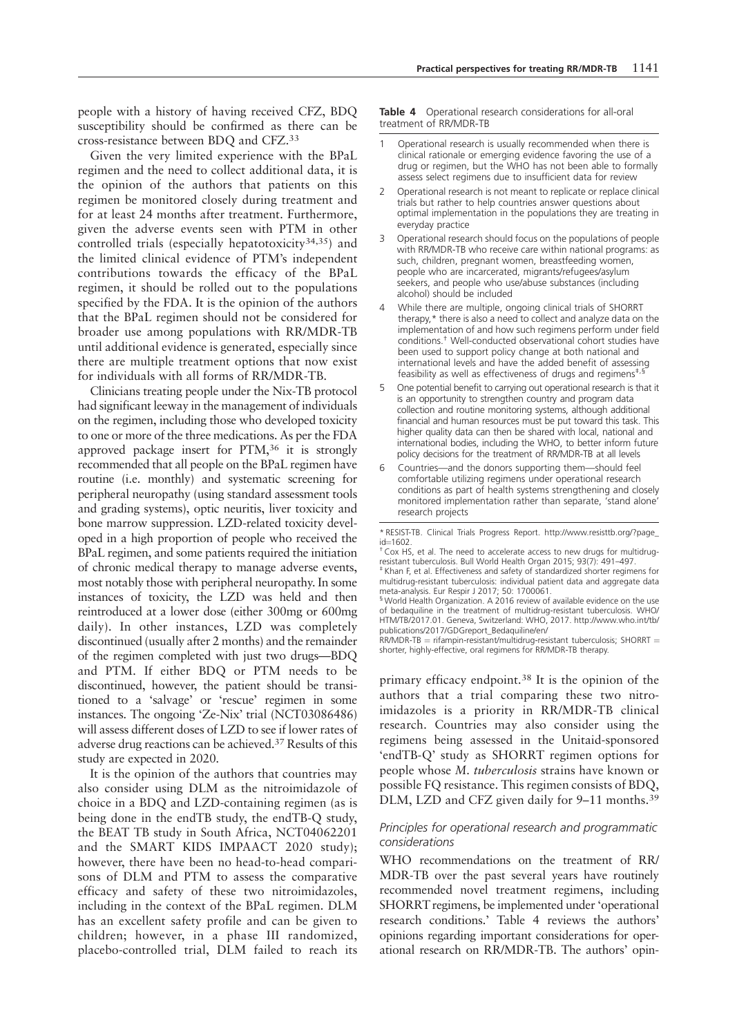people with a history of having received CFZ, BDQ susceptibility should be confirmed as there can be cross-resistance between BDQ and CFZ.33

Given the very limited experience with the BPaL regimen and the need to collect additional data, it is the opinion of the authors that patients on this regimen be monitored closely during treatment and for at least 24 months after treatment. Furthermore, given the adverse events seen with PTM in other controlled trials (especially hepatotoxicity34,35) and the limited clinical evidence of PTM's independent contributions towards the efficacy of the BPaL regimen, it should be rolled out to the populations specified by the FDA. It is the opinion of the authors that the BPaL regimen should not be considered for broader use among populations with RR/MDR-TB until additional evidence is generated, especially since there are multiple treatment options that now exist for individuals with all forms of RR/MDR-TB.

Clinicians treating people under the Nix-TB protocol had significant leeway in the management of individuals on the regimen, including those who developed toxicity to one or more of the three medications. As per the FDA approved package insert for PTM,36 it is strongly recommended that all people on the BPaL regimen have routine (i.e. monthly) and systematic screening for peripheral neuropathy (using standard assessment tools and grading systems), optic neuritis, liver toxicity and bone marrow suppression. LZD-related toxicity developed in a high proportion of people who received the BPaL regimen, and some patients required the initiation of chronic medical therapy to manage adverse events, most notably those with peripheral neuropathy. In some instances of toxicity, the LZD was held and then reintroduced at a lower dose (either 300mg or 600mg daily). In other instances, LZD was completely discontinued (usually after 2 months) and the remainder of the regimen completed with just two drugs—BDQ and PTM. If either BDQ or PTM needs to be discontinued, however, the patient should be transitioned to a 'salvage' or 'rescue' regimen in some instances. The ongoing 'Ze-Nix' trial (NCT03086486) will assess different doses of LZD to see if lower rates of adverse drug reactions can be achieved.37 Results of this study are expected in 2020.

It is the opinion of the authors that countries may also consider using DLM as the nitroimidazole of choice in a BDQ and LZD-containing regimen (as is being done in the endTB study, the endTB-Q study, the BEAT TB study in South Africa, NCT04062201 and the SMART KIDS IMPAACT 2020 study); however, there have been no head-to-head comparisons of DLM and PTM to assess the comparative efficacy and safety of these two nitroimidazoles, including in the context of the BPaL regimen. DLM has an excellent safety profile and can be given to children; however, in a phase III randomized, placebo-controlled trial, DLM failed to reach its Table 4 Operational research considerations for all-oral treatment of RR/MDR-TB

- Operational research is usually recommended when there is clinical rationale or emerging evidence favoring the use of a drug or regimen, but the WHO has not been able to formally assess select regimens due to insufficient data for review
- 2 Operational research is not meant to replicate or replace clinical trials but rather to help countries answer questions about optimal implementation in the populations they are treating in everyday practice
- 3 Operational research should focus on the populations of people with RR/MDR-TB who receive care within national programs: as such, children, pregnant women, breastfeeding women, people who are incarcerated, migrants/refugees/asylum seekers, and people who use/abuse substances (including alcohol) should be included
- While there are multiple, ongoing clinical trials of SHORRT therapy,\* there is also a need to collect and analyze data on the implementation of and how such regimens perform under field conditions.† Well-conducted observational cohort studies have been used to support policy change at both national and international levels and have the added benefit of assessing feasibility as well as effectiveness of drugs and regimens<sup>#,§</sup>
- 5 One potential benefit to carrying out operational research is that it is an opportunity to strengthen country and program data collection and routine monitoring systems, although additional financial and human resources must be put toward this task. This higher quality data can then be shared with local, national and international bodies, including the WHO, to better inform future policy decisions for the treatment of RR/MDR-TB at all levels
- 6 Countries—and the donors supporting them—should feel comfortable utilizing regimens under operational research conditions as part of health systems strengthening and closely monitored implementation rather than separate, 'stand alone' research projects

primary efficacy endpoint.<sup>38</sup> It is the opinion of the authors that a trial comparing these two nitroimidazoles is a priority in RR/MDR-TB clinical research. Countries may also consider using the regimens being assessed in the Unitaid-sponsored 'endTB-Q' study as SHORRT regimen options for people whose M. tuberculosis strains have known or possible FQ resistance. This regimen consists of BDQ, DLM, LZD and CFZ given daily for 9–11 months.<sup>39</sup>

### Principles for operational research and programmatic considerations

WHO recommendations on the treatment of RR/ MDR-TB over the past several years have routinely recommended novel treatment regimens, including SHORRT regimens, be implemented under 'operational research conditions.' Table 4 reviews the authors' opinions regarding important considerations for operational research on RR/MDR-TB. The authors' opin-

<sup>\*</sup> RESIST-TB. Clinical Trials Progress Report. http://www.resisttb.org/?page\_

 $<sup>†</sup>$  Cox HS, et al. The need to accelerate access to new drugs for multidrug-</sup> resistant tuberculosis. Bull World Health Organ 2015; 93(7): 491–497. ‡ Khan F, et al. Effectiveness and safety of standardized shorter regimens for multidrug-resistant tuberculosis: individual patient data and aggregate data

meta-analysis. Eur Respir J 2017; 50: 1700061. <sup>§</sup> World Health Organization. A 2016 review of available evidence on the use

of bedaquiline in the treatment of multidrug-resistant tuberculosis. WHO/ HTM/TB/2017.01. Geneva, Switzerland: WHO, 2017. http://www.who.int/tb/ publications/2017/GDGreport\_Bedaquiline/en/

RR/MDR-TB = rifampin-resistant/multidrug-resistant tuberculosis; SHORRT =<br>shorter, highly-effective, oral regimens for RR/MDR-TB therapy.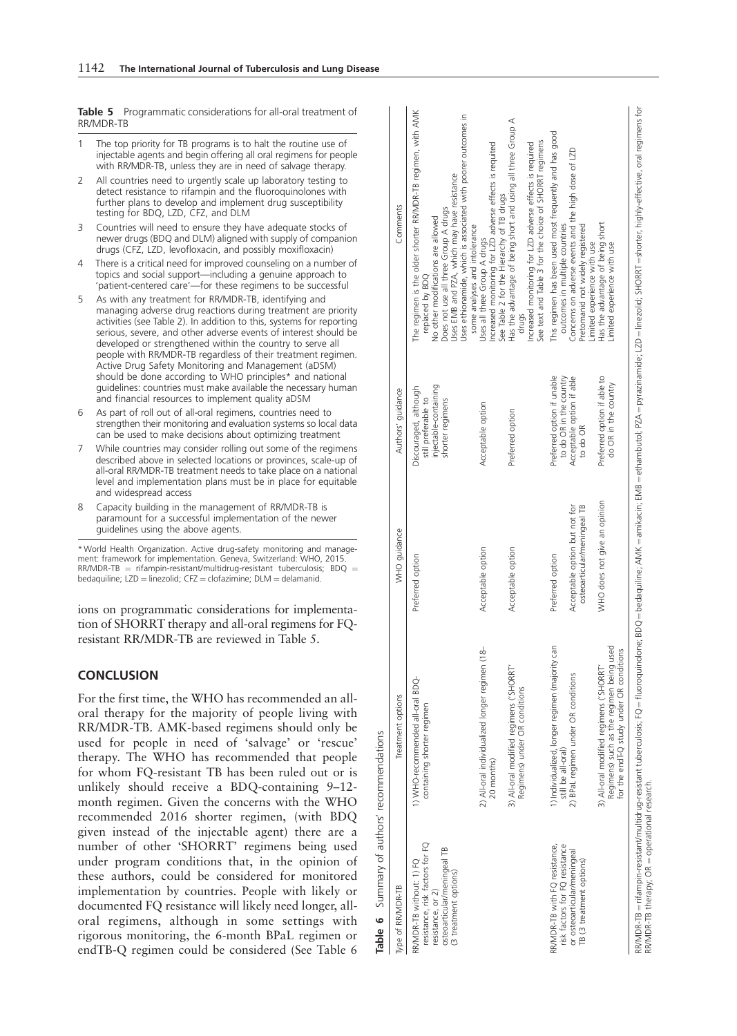Table 5 Programmatic considerations for all-oral treatment of RR/MDR-TB

- 1 The top priority for TB programs is to halt the routine use of injectable agents and begin offering all oral regimens for people with RR/MDR-TB, unless they are in need of salvage therapy.
- 2 All countries need to urgently scale up laboratory testing to detect resistance to rifampin and the fluoroquinolones with further plans to develop and implement drug susceptibility testing for BDQ, LZD, CFZ, and DLM
- Countries will need to ensure they have adequate stocks of newer drugs (BDQ and DLM) aligned with supply of companion drugs (CFZ, LZD, levofloxacin, and possibly moxifloxacin)
- 4 There is a critical need for improved counseling on a number of topics and social support—including a genuine approach to 'patient-centered care'—for these regimens to be successful
- 5 As with any treatment for RR/MDR-TB, identifying and managing adverse drug reactions during treatment are priority activities (see Table 2). In addition to this, systems for reporting serious, severe, and other adverse events of interest should be developed or strengthened within the country to serve all people with RR/MDR-TB regardless of their treatment regimen. Active Drug Safety Monitoring and Management (aDSM) should be done according to WHO principles\* and national guidelines: countries must make available the necessary human and financial resources to implement quality aDSM
- 6 As part of roll out of all-oral regimens, countries need to strengthen their monitoring and evaluation systems so local data can be used to make decisions about optimizing treatment
- While countries may consider rolling out some of the regimens described above in selected locations or provinces, scale-up of all-oral RR/MDR-TB treatment needs to take place on a national level and implementation plans must be in place for equitable and widespread access
- Capacity building in the management of RR/MDR-TB is paramount for a successful implementation of the newer guidelines using the above agents.

\* World Health Organization. Active drug-safety monitoring and management: framework for implementation. Geneva, Switzerland: WHO, 2015.  $RR/MDR-TB = rifampin-resistant/multidrug-resistant tube{reclusions; BDQ =}$ bedaquiline; LZD = linezolid; CFZ = clofazimine;  $DLM =$  delamanid.

ions on programmatic considerations for implementation of SHORRT therapy and all-oral regimens for FQresistant RR/MDR-TB are reviewed in Table 5.

## **CONCLUSION**

For the first time, the WHO has recommended an alloral therapy for the majority of people living with RR/MDR-TB. AMK-based regimens should only be used for people in need of 'salvage' or 'rescue' therapy. The WHO has recommended that people for whom FQ-resistant TB has been ruled out or is unlikely should receive a BDQ-containing 9–12 month regimen. Given the concerns with the WHO recommended 2016 shorter regimen, (with BDQ given instead of the injectable agent) there are a number of other 'SHORRT' regimens being used under program conditions that, in the opinion of these authors, could be considered for monitored implementation by countries. People with likely or documented FQ resistance will likely need longer, alloral regimens, although in some settings with rigorous monitoring, the 6-month BPaL regimen or endTB-Q regimen could be considered (See Table 6

| Type of RR/MDR-TB                                                                                                                        | Treatment options                                                                                                              | WHO guidance                                                                     | Authors' guidance                                                                              | Comments                                                                                                                                                                                                                                                                      |
|------------------------------------------------------------------------------------------------------------------------------------------|--------------------------------------------------------------------------------------------------------------------------------|----------------------------------------------------------------------------------|------------------------------------------------------------------------------------------------|-------------------------------------------------------------------------------------------------------------------------------------------------------------------------------------------------------------------------------------------------------------------------------|
| resistance, risk factors for FQ<br>osteoarticular/meningeal TB<br>RR/MDR-TB without: 1) FQ<br>(3 treatment options)<br>resistance, or 2) | 1) WHO-recommended all-oral BDQ-<br>containing shorter regimen                                                                 | Preferred option                                                                 | injectable-containing<br>Discouraged, although<br>still preferable to<br>shorter regimens      | The regimen is the older shorter RRVMDR-TB regimen, with AMK<br>Uses ethionamide, which is associated with poorer outcomes in<br>Uses EMB and PZA, which may have resistance<br>Does not use all three Group A drugs<br>No other modifications are allowed<br>replaced by BDQ |
|                                                                                                                                          | 2) All-oral individualized longer regimen (18-<br>20 months)                                                                   | Acceptable option                                                                | Acceptable option                                                                              | Increased monitoring for LZD adverse effects is requited<br>See Table 2 for the Hierarchy of TB drugs<br>some analyses and intolerance<br>Uses all three Group A drugs                                                                                                        |
|                                                                                                                                          | 3) All-oral modified regimens ('SHORRT'<br>Regimens) under OR conditions                                                       | Acceptable option                                                                | Preferred option                                                                               | Has the advantage of being short and using all three Group A<br>See text and Table 3 for the choice of SHORRT regimens<br>Increased monitoring for LZD adverse effects is required<br>drugs                                                                                   |
| RR/MDR-TB with FQ resistance,<br>risk factors for FQ resistance<br>or osteoarticular/meningeal<br>TB (3 treatment options)               | 1) Individualized, longer regimen (majority can<br>2) BPaL regimen under OR conditions<br>still be all-oral)                   | Acceptable option but not for<br>osteoarticular/meningeal TB<br>Preferred option | Preferred option if unable<br>Acceptable option if able<br>to do OR in the country<br>to do OR | This regimen has been used most frequently and has good<br>Concerns on adverse events and the high dose of LZD<br>outcomes in multiple countries<br>Pretomanid not widely registered                                                                                          |
|                                                                                                                                          | Regimens) such as the regimen being used<br>or the endT-Q study under OR conditions<br>3) All-oral modified regimens ('SHORRT' | WHO does not give an opinion                                                     | Preferred option if able to<br>do OR in the country                                            | Has the advantage of being short<br>Limited experience with use<br>Limited experience with use                                                                                                                                                                                |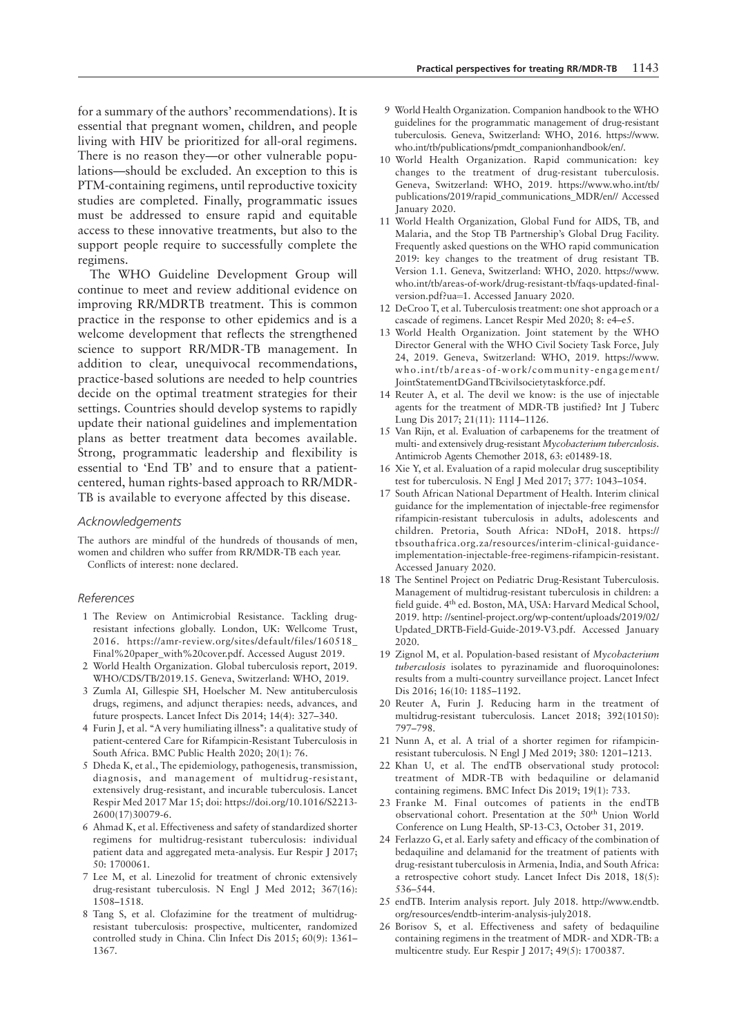for a summary of the authors' recommendations). It is essential that pregnant women, children, and people living with HIV be prioritized for all-oral regimens. There is no reason they—or other vulnerable populations—should be excluded. An exception to this is PTM-containing regimens, until reproductive toxicity studies are completed. Finally, programmatic issues must be addressed to ensure rapid and equitable access to these innovative treatments, but also to the support people require to successfully complete the regimens.

The WHO Guideline Development Group will continue to meet and review additional evidence on improving RR/MDRTB treatment. This is common practice in the response to other epidemics and is a welcome development that reflects the strengthened science to support RR/MDR-TB management. In addition to clear, unequivocal recommendations, practice-based solutions are needed to help countries decide on the optimal treatment strategies for their settings. Countries should develop systems to rapidly update their national guidelines and implementation plans as better treatment data becomes available. Strong, programmatic leadership and flexibility is essential to 'End TB' and to ensure that a patientcentered, human rights-based approach to RR/MDR-TB is available to everyone affected by this disease.

#### Acknowledgements

The authors are mindful of the hundreds of thousands of men, women and children who suffer from RR/MDR-TB each year. Conflicts of interest: none declared.

#### References

- 1 The Review on Antimicrobial Resistance. Tackling drugresistant infections globally. London, UK: Wellcome Trust, 2016. https://amr-review.org/sites/default/files/160518\_ Final%20paper\_with%20cover.pdf. Accessed August 2019.
- 2 World Health Organization. Global tuberculosis report, 2019. WHO/CDS/TB/2019.15. Geneva, Switzerland: WHO, 2019.
- 3 Zumla AI, Gillespie SH, Hoelscher M. New antituberculosis drugs, regimens, and adjunct therapies: needs, advances, and future prospects. Lancet Infect Dis 2014; 14(4): 327–340.
- 4 Furin J, et al. "A very humiliating illness": a qualitative study of patient-centered Care for Rifampicin-Resistant Tuberculosis in South Africa. BMC Public Health 2020; 20(1): 76.
- 5 Dheda K, et al., The epidemiology, pathogenesis, transmission, diagnosis, and management of multidrug-resistant, extensively drug-resistant, and incurable tuberculosis. Lancet Respir Med 2017 Mar 15; doi: https://doi.org/10.1016/S2213- 2600(17)30079-6.
- 6 Ahmad K, et al. Effectiveness and safety of standardized shorter regimens for multidrug-resistant tuberculosis: individual patient data and aggregated meta-analysis. Eur Respir J 2017; 50: 1700061.
- 7 Lee M, et al. Linezolid for treatment of chronic extensively drug-resistant tuberculosis. N Engl J Med 2012; 367(16): 1508–1518.
- 8 Tang S, et al. Clofazimine for the treatment of multidrugresistant tuberculosis: prospective, multicenter, randomized controlled study in China. Clin Infect Dis 2015; 60(9): 1361– 1367.
- 9 World Health Organization. Companion handbook to the WHO guidelines for the programmatic management of drug-resistant tuberculosis. Geneva, Switzerland: WHO, 2016. https://www. who.int/tb/publications/pmdt\_companionhandbook/en/.
- 10 World Health Organization. Rapid communication: key changes to the treatment of drug-resistant tuberculosis. Geneva, Switzerland: WHO, 2019. https://www.who.int/tb/ publications/2019/rapid\_communications\_MDR/en// Accessed January 2020.
- 11 World Health Organization, Global Fund for AIDS, TB, and Malaria, and the Stop TB Partnership's Global Drug Facility. Frequently asked questions on the WHO rapid communication 2019: key changes to the treatment of drug resistant TB. Version 1.1. Geneva, Switzerland: WHO, 2020. https://www. who.int/tb/areas-of-work/drug-resistant-tb/faqs-updated-finalversion.pdf?ua=1. Accessed January 2020.
- 12 DeCroo T, et al. Tuberculosis treatment: one shot approach or a cascade of regimens. Lancet Respir Med 2020; 8: e4–e5.
- 13 World Health Organization. Joint statement by the WHO Director General with the WHO Civil Society Task Force, July 24, 2019. Geneva, Switzerland: WHO, 2019. https://www. who.int/tb/areas-of-work/community-engagement/ JointStatementDGandTBcivilsocietytaskforce.pdf.
- 14 Reuter A, et al. The devil we know: is the use of injectable agents for the treatment of MDR-TB justified? Int J Tuberc Lung Dis 2017; 21(11): 1114–1126.
- 15 Van Rijn, et al. Evaluation of carbapenems for the treatment of multi- and extensively drug-resistant Mycobacterium tuberculosis. Antimicrob Agents Chemother 2018, 63: e01489-18.
- 16 Xie Y, et al. Evaluation of a rapid molecular drug susceptibility test for tuberculosis. N Engl J Med 2017; 377: 1043–1054.
- 17 South African National Department of Health. Interim clinical guidance for the implementation of injectable-free regimensfor rifampicin-resistant tuberculosis in adults, adolescents and children. Pretoria, South Africa: NDoH, 2018. https:// tbsouthafrica.org.za/resources/interim-clinical-guidanceimplementation-injectable-free-regimens-rifampicin-resistant. Accessed January 2020.
- 18 The Sentinel Project on Pediatric Drug-Resistant Tuberculosis. Management of multidrug-resistant tuberculosis in children: a field guide. 4th ed. Boston, MA, USA: Harvard Medical School, 2019. http: //sentinel-project.org/wp-content/uploads/2019/02/ Updated\_DRTB-Field-Guide-2019-V3.pdf. Accessed January 2020.
- 19 Zignol M, et al. Population-based resistant of Mycobacterium tuberculosis isolates to pyrazinamide and fluoroquinolones: results from a multi-country surveillance project. Lancet Infect Dis 2016; 16(10: 1185–1192.
- 20 Reuter A, Furin J. Reducing harm in the treatment of multidrug-resistant tuberculosis. Lancet 2018; 392(10150): 797–798.
- 21 Nunn A, et al. A trial of a shorter regimen for rifampicinresistant tuberculosis. N Engl J Med 2019; 380: 1201–1213.
- 22 Khan U, et al. The endTB observational study protocol: treatment of MDR-TB with bedaquiline or delamanid containing regimens. BMC Infect Dis 2019; 19(1): 733.
- 23 Franke M. Final outcomes of patients in the endTB observational cohort. Presentation at the 50<sup>th</sup> Union World Conference on Lung Health, SP-13-C3, October 31, 2019.
- 24 Ferlazzo G, et al. Early safety and efficacy of the combination of bedaquiline and delamanid for the treatment of patients with drug-resistant tuberculosis in Armenia, India, and South Africa: a retrospective cohort study. Lancet Infect Dis 2018, 18(5): 536–544.
- 25 endTB. Interim analysis report. July 2018. http://www.endtb. org/resources/endtb-interim-analysis-july2018.
- 26 Borisov S, et al. Effectiveness and safety of bedaquiline containing regimens in the treatment of MDR- and XDR-TB: a multicentre study. Eur Respir J 2017; 49(5): 1700387.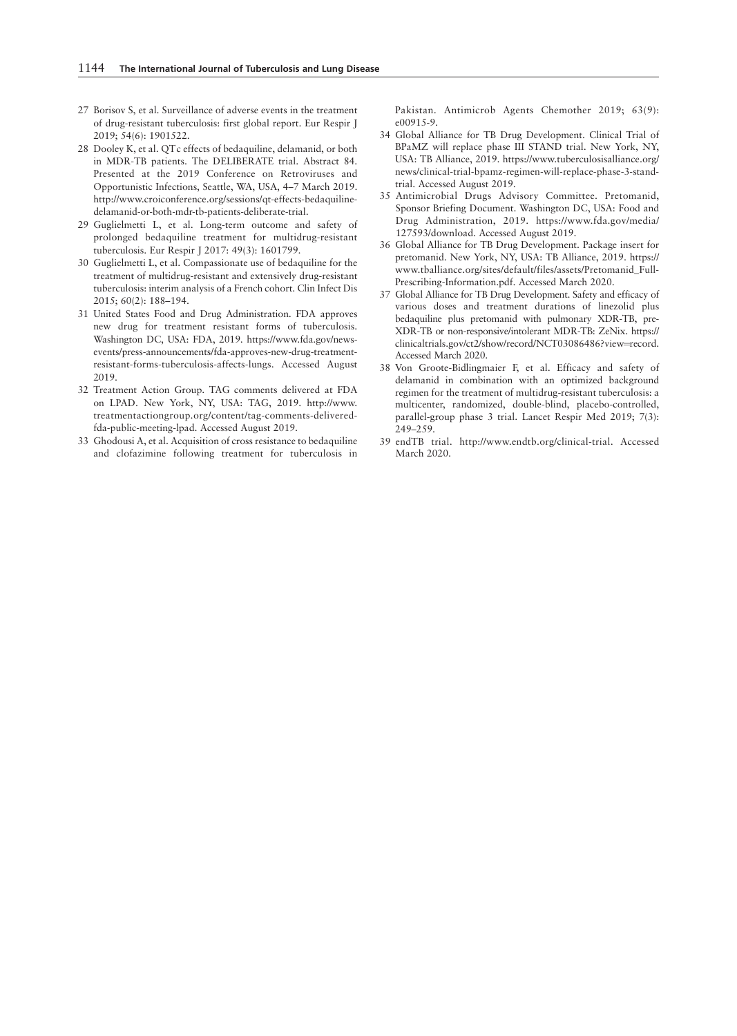- 27 Borisov S, et al. Surveillance of adverse events in the treatment of drug-resistant tuberculosis: first global report. Eur Respir J 2019; 54(6): 1901522.
- 28 Dooley K, et al. QTc effects of bedaquiline, delamanid, or both in MDR-TB patients. The DELIBERATE trial. Abstract 84. Presented at the 2019 Conference on Retroviruses and Opportunistic Infections, Seattle, WA, USA, 4–7 March 2019. http://www.croiconference.org/sessions/qt-effects-bedaquilinedelamanid-or-both-mdr-tb-patients-deliberate-trial.
- 29 Guglielmetti L, et al. Long-term outcome and safety of prolonged bedaquiline treatment for multidrug-resistant tuberculosis. Eur Respir J 2017: 49(3): 1601799.
- 30 Guglielmetti L, et al. Compassionate use of bedaquiline for the treatment of multidrug-resistant and extensively drug-resistant tuberculosis: interim analysis of a French cohort. Clin Infect Dis 2015; 60(2): 188–194.
- 31 United States Food and Drug Administration. FDA approves new drug for treatment resistant forms of tuberculosis. Washington DC, USA: FDA, 2019. https://www.fda.gov/newsevents/press-announcements/fda-approves-new-drug-treatmentresistant-forms-tuberculosis-affects-lungs. Accessed August 2019.
- 32 Treatment Action Group. TAG comments delivered at FDA on LPAD. New York, NY, USA: TAG, 2019. http://www. treatmentactiongroup.org/content/tag-comments-deliveredfda-public-meeting-lpad. Accessed August 2019.
- 33 Ghodousi A, et al. Acquisition of cross resistance to bedaquiline and clofazimine following treatment for tuberculosis in

Pakistan. Antimicrob Agents Chemother 2019; 63(9): e00915-9.

- 34 Global Alliance for TB Drug Development. Clinical Trial of BPaMZ will replace phase III STAND trial. New York, NY, USA: TB Alliance, 2019. https://www.tuberculosisalliance.org/ news/clinical-trial-bpamz-regimen-will-replace-phase-3-standtrial. Accessed August 2019.
- 35 Antimicrobial Drugs Advisory Committee. Pretomanid, Sponsor Briefing Document. Washington DC, USA: Food and Drug Administration, 2019. https://www.fda.gov/media/ 127593/download. Accessed August 2019.
- 36 Global Alliance for TB Drug Development. Package insert for pretomanid. New York, NY, USA: TB Alliance, 2019. https:// www.tballiance.org/sites/default/files/assets/Pretomanid\_Full-Prescribing-Information.pdf. Accessed March 2020.
- 37 Global Alliance for TB Drug Development. Safety and efficacy of various doses and treatment durations of linezolid plus bedaquiline plus pretomanid with pulmonary XDR-TB, pre-XDR-TB or non-responsive/intolerant MDR-TB: ZeNix. https:// clinicaltrials.gov/ct2/show/record/NCT03086486?view=record. Accessed March 2020.
- 38 Von Groote-Bidlingmaier F, et al. Efficacy and safety of delamanid in combination with an optimized background regimen for the treatment of multidrug-resistant tuberculosis: a multicenter, randomized, double-blind, placebo-controlled, parallel-group phase 3 trial. Lancet Respir Med 2019; 7(3): 249–259.
- 39 endTB trial. http://www.endtb.org/clinical-trial. Accessed March 2020.